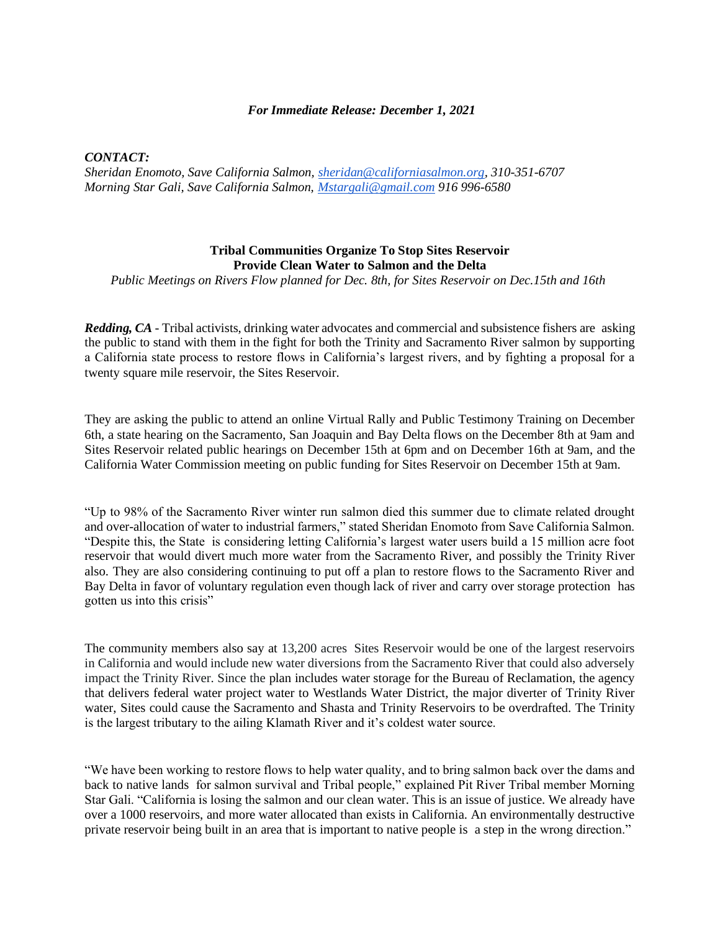## *For Immediate Release: December 1, 2021*

*CONTACT:*

*Sheridan Enomoto, Save California Salmon, [sheridan@californiasalmon.org,](mailto:sheridan@californiasalmon.org) 310-351-6707 Morning Star Gali, Save California Salmon, [Mstargali@gmail.com](mailto:Mstargali@gmail.com) 916 996-6580*

## **Tribal Communities Organize To Stop Sites Reservoir Provide Clean Water to Salmon and the Delta**

*Public Meetings on Rivers Flow planned for Dec. 8th, for Sites Reservoir on Dec.15th and 16th*

*Redding, CA -* Tribal activists, drinking water advocates and commercial and subsistence fishers are asking the public to stand with them in the fight for both the Trinity and Sacramento River salmon by supporting a California state process to restore flows in California's largest rivers, and by fighting a proposal for a twenty square mile reservoir, the Sites Reservoir.

They are asking the public to attend an online Virtual Rally and Public Testimony Training on December 6th, a state hearing on the Sacramento, San Joaquin and Bay Delta flows on the December 8th at 9am and Sites Reservoir related public hearings on December 15th at 6pm and on December 16th at 9am, and the California Water Commission meeting on public funding for Sites Reservoir on December 15th at 9am.

"Up to 98% of the Sacramento River winter run salmon died this summer due to climate related drought and over-allocation of water to industrial farmers," stated Sheridan Enomoto from Save California Salmon. "Despite this, the State is considering letting California's largest water users build a 15 million acre foot reservoir that would divert much more water from the Sacramento River, and possibly the Trinity River also. They are also considering continuing to put off a plan to restore flows to the Sacramento River and Bay Delta in favor of voluntary regulation even though lack of river and carry over storage protection has gotten us into this crisis"

The community members also say at 13,200 acres Sites Reservoir would be one of the largest reservoirs in California and would include new water diversions from the Sacramento River that could also adversely impact the Trinity River. Since the plan includes water storage for the Bureau of Reclamation, the agency that delivers federal water project water to Westlands Water District, the major diverter of Trinity River water, Sites could cause the Sacramento and Shasta and Trinity Reservoirs to be overdrafted. The Trinity is the largest tributary to the ailing Klamath River and it's coldest water source.

"We have been working to restore flows to help water quality, and to bring salmon back over the dams and back to native lands for salmon survival and Tribal people," explained Pit River Tribal member Morning Star Gali. "California is losing the salmon and our clean water. This is an issue of justice. We already have over a 1000 reservoirs, and more water allocated than exists in California. An environmentally destructive private reservoir being built in an area that is important to native people is a step in the wrong direction."